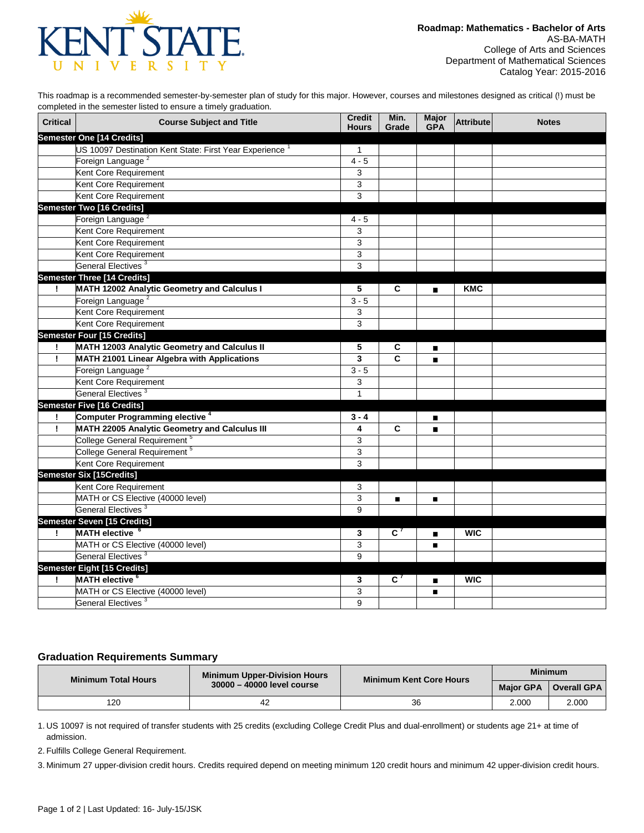

This roadmap is a recommended semester-by-semester plan of study for this major. However, courses and milestones designed as critical (!) must be completed in the semester listed to ensure a timely graduation.

| <b>Critical</b> | <b>Course Subject and Title</b>                        | <b>Credit</b><br><b>Hours</b> | Min.<br>Grade               | <b>Major</b><br><b>GPA</b> | Attribute  | <b>Notes</b> |
|-----------------|--------------------------------------------------------|-------------------------------|-----------------------------|----------------------------|------------|--------------|
|                 | Semester One [14 Credits]                              |                               |                             |                            |            |              |
|                 | US 10097 Destination Kent State: First Year Experience | $\mathbf{1}$                  |                             |                            |            |              |
|                 | Foreign Language <sup>2</sup>                          | $4 - 5$                       |                             |                            |            |              |
|                 | Kent Core Requirement                                  | 3                             |                             |                            |            |              |
|                 | Kent Core Requirement                                  | 3                             |                             |                            |            |              |
|                 | Kent Core Requirement                                  | 3                             |                             |                            |            |              |
|                 | <b>Semester Two [16 Credits]</b>                       |                               |                             |                            |            |              |
|                 | Foreign Language <sup>2</sup>                          | $4 - 5$                       |                             |                            |            |              |
|                 | Kent Core Requirement                                  | 3                             |                             |                            |            |              |
|                 | Kent Core Requirement                                  | 3                             |                             |                            |            |              |
|                 | Kent Core Requirement                                  | 3                             |                             |                            |            |              |
|                 | General Electives <sup>3</sup>                         | 3                             |                             |                            |            |              |
|                 | <b>Semester Three [14 Credits]</b>                     |                               |                             |                            |            |              |
| Ι.              | MATH 12002 Analytic Geometry and Calculus I            | 5                             | C                           | $\blacksquare$             | <b>KMC</b> |              |
|                 | Foreign Language <sup>2</sup>                          | $3 - 5$                       |                             |                            |            |              |
|                 | Kent Core Requirement                                  | 3                             |                             |                            |            |              |
|                 | Kent Core Requirement                                  | $\overline{3}$                |                             |                            |            |              |
|                 | <b>Semester Four [15 Credits]</b>                      |                               |                             |                            |            |              |
| ÷               | MATH 12003 Analytic Geometry and Calculus II           | 5                             | С                           | П                          |            |              |
| Ţ               | MATH 21001 Linear Algebra with Applications            | 3                             | C                           | $\blacksquare$             |            |              |
|                 | Foreign Language <sup>2</sup>                          | $3 - 5$                       |                             |                            |            |              |
|                 | Kent Core Requirement                                  | 3                             |                             |                            |            |              |
|                 | General Electives <sup>3</sup>                         | $\mathbf{1}$                  |                             |                            |            |              |
|                 | <b>Semester Five [16 Credits]</b>                      |                               |                             |                            |            |              |
| T               | <b>Computer Programming elective 4</b>                 | $3 - 4$                       |                             | $\blacksquare$             |            |              |
| T               | MATH 22005 Analytic Geometry and Calculus III          | 4                             | C                           | $\blacksquare$             |            |              |
|                 | College General Requirement <sup>5</sup>               | 3                             |                             |                            |            |              |
|                 | College General Requirement <sup>5</sup>               | 3                             |                             |                            |            |              |
|                 | Kent Core Requirement                                  | 3                             |                             |                            |            |              |
|                 | <b>Semester Six [15Credits]</b>                        |                               |                             |                            |            |              |
|                 | Kent Core Requirement                                  | 3                             |                             |                            |            |              |
|                 | MATH or CS Elective (40000 level)                      | 3                             | п                           | п                          |            |              |
|                 | General Electives <sup>3</sup>                         | 9                             |                             |                            |            |              |
|                 | Semester Seven [15 Credits]                            |                               |                             |                            |            |              |
|                 | MATH elective <sup>6</sup>                             | 3                             | $\overline{c}$ <sup>7</sup> | $\blacksquare$             | <b>WIC</b> |              |
|                 | MATH or CS Elective (40000 level)                      | 3                             |                             | п                          |            |              |
|                 | General Electives <sup>3</sup>                         | 9                             |                             |                            |            |              |
|                 | <b>Semester Eight [15 Credits]</b>                     |                               |                             |                            |            |              |
| Ţ               | <b>MATH</b> elective <sup>6</sup>                      | 3                             | $\overline{c}$ <sup>7</sup> | $\blacksquare$             | <b>WIC</b> |              |
|                 | MATH or CS Elective (40000 level)                      | 3                             |                             | п                          |            |              |
|                 | General Electives <sup>3</sup>                         | 9                             |                             |                            |            |              |

## **Graduation Requirements Summary**

| <b>Minimum Total Hours</b> | <b>Minimum Upper-Division Hours</b> | Minimum Kent Core Hours | <b>Minimum</b>   |             |
|----------------------------|-------------------------------------|-------------------------|------------------|-------------|
|                            | 30000 - 40000 level course          |                         | <b>Major GPA</b> | Overall GPA |
| 120                        |                                     | 36                      | 2.000            | 2.000       |

1. US 10097 is not required of transfer students with 25 credits (excluding College Credit Plus and dual-enrollment) or students age 21+ at time of admission.

2. Fulfills College General Requirement.

3. Minimum 27 upper-division credit hours. Credits required depend on meeting minimum 120 credit hours and minimum 42 upper-division credit hours.